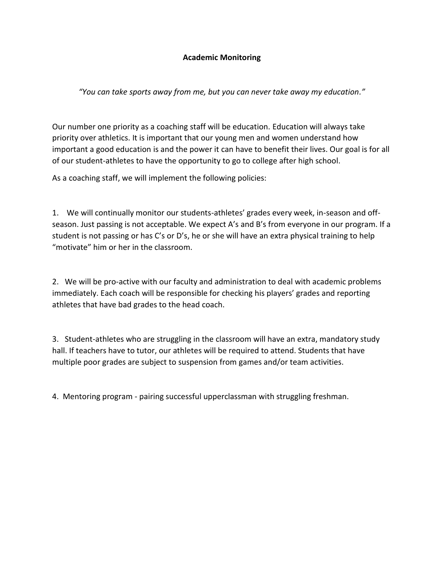## **Academic Monitoring**

*"You can take sports away from me, but you can never take away my education."*

Our number one priority as a coaching staff will be education. Education will always take priority over athletics. It is important that our young men and women understand how important a good education is and the power it can have to benefit their lives. Our goal is for all of our student-athletes to have the opportunity to go to college after high school.

As a coaching staff, we will implement the following policies:

1. We will continually monitor our students-athletes' grades every week, in-season and offseason. Just passing is not acceptable. We expect A's and B's from everyone in our program. If a student is not passing or has C's or D's, he or she will have an extra physical training to help "motivate" him or her in the classroom.

2. We will be pro-active with our faculty and administration to deal with academic problems immediately. Each coach will be responsible for checking his players' grades and reporting athletes that have bad grades to the head coach.

3. Student-athletes who are struggling in the classroom will have an extra, mandatory study hall. If teachers have to tutor, our athletes will be required to attend. Students that have multiple poor grades are subject to suspension from games and/or team activities.

4. Mentoring program - pairing successful upperclassman with struggling freshman.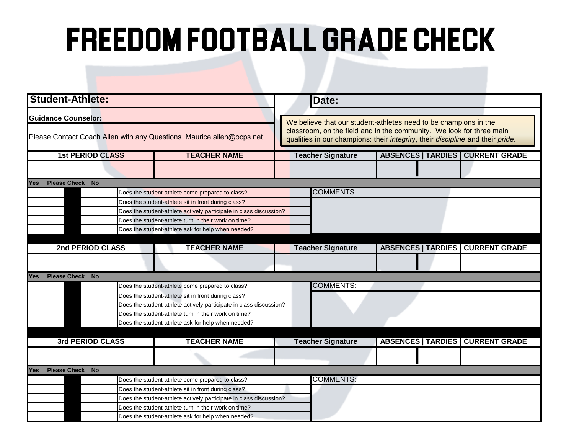## FREEDOM FOOTBALL GRADE CHECK

| <b>Student-Athlete:</b>                                              |                                                      | Date:                                                                          |                                                                                                                                          |  |                             |                                           |  |  |  |
|----------------------------------------------------------------------|------------------------------------------------------|--------------------------------------------------------------------------------|------------------------------------------------------------------------------------------------------------------------------------------|--|-----------------------------|-------------------------------------------|--|--|--|
| <b>Guidance Counselor:</b>                                           |                                                      |                                                                                | We believe that our student-athletes need to be champions in the<br>classroom, on the field and in the community. We look for three main |  |                             |                                           |  |  |  |
| Please Contact Coach Allen with any Questions Maurice.allen@ocps.net |                                                      | qualities in our champions: their integrity, their discipline and their pride. |                                                                                                                                          |  |                             |                                           |  |  |  |
| <b>1st PERIOD CLASS</b>                                              | <b>TEACHER NAME</b>                                  | <b>Teacher Signature</b>                                                       |                                                                                                                                          |  | <b>ABSENCES   TARDIES  </b> | <b>CURRENT GRADE</b>                      |  |  |  |
|                                                                      |                                                      |                                                                                |                                                                                                                                          |  |                             |                                           |  |  |  |
| <b>Please Check No</b><br>Yes                                        |                                                      |                                                                                |                                                                                                                                          |  |                             |                                           |  |  |  |
| Does the student-athlete come prepared to class?                     |                                                      |                                                                                | <b>COMMENTS:</b>                                                                                                                         |  |                             |                                           |  |  |  |
| Does the student-athlete sit in front during class?                  |                                                      |                                                                                |                                                                                                                                          |  |                             |                                           |  |  |  |
| Does the student-athlete actively participate in class discussion?   |                                                      |                                                                                |                                                                                                                                          |  |                             |                                           |  |  |  |
| Does the student-athlete turn in their work on time?                 |                                                      |                                                                                |                                                                                                                                          |  |                             |                                           |  |  |  |
|                                                                      | Does the student-athlete ask for help when needed?   |                                                                                |                                                                                                                                          |  |                             |                                           |  |  |  |
|                                                                      |                                                      |                                                                                |                                                                                                                                          |  |                             |                                           |  |  |  |
| 2nd PERIOD CLASS                                                     | <b>TEACHER NAME</b>                                  |                                                                                | <b>Teacher Signature</b>                                                                                                                 |  |                             | <b>ABSENCES   TARDIES   CURRENT GRADE</b> |  |  |  |
|                                                                      |                                                      |                                                                                |                                                                                                                                          |  |                             |                                           |  |  |  |
| <b>Please Check No</b><br>Yes                                        |                                                      |                                                                                |                                                                                                                                          |  |                             |                                           |  |  |  |
| Does the student-athlete come prepared to class?                     |                                                      |                                                                                | <b>COMMENTS:</b>                                                                                                                         |  |                             |                                           |  |  |  |
| Does the student-athlete sit in front during class?                  |                                                      |                                                                                |                                                                                                                                          |  |                             |                                           |  |  |  |
| Does the student-athlete actively participate in class discussion?   |                                                      |                                                                                |                                                                                                                                          |  |                             |                                           |  |  |  |
| Does the student-athlete turn in their work on time?                 |                                                      |                                                                                |                                                                                                                                          |  |                             |                                           |  |  |  |
|                                                                      | Does the student-athlete ask for help when needed?   |                                                                                |                                                                                                                                          |  |                             |                                           |  |  |  |
|                                                                      |                                                      |                                                                                |                                                                                                                                          |  |                             |                                           |  |  |  |
| 3rd PERIOD CLASS                                                     | <b>TEACHER NAME</b>                                  |                                                                                | <b>Teacher Signature</b>                                                                                                                 |  | <b>ABSENCES   TARDIES</b>   | <b>CURRENT GRADE</b>                      |  |  |  |
|                                                                      |                                                      |                                                                                |                                                                                                                                          |  |                             |                                           |  |  |  |
| Please Check No<br>Yes                                               |                                                      |                                                                                |                                                                                                                                          |  |                             |                                           |  |  |  |
|                                                                      | Does the student-athlete come prepared to class?     |                                                                                | <b>COMMENTS:</b>                                                                                                                         |  |                             |                                           |  |  |  |
| Does the student-athlete sit in front during class?                  |                                                      |                                                                                |                                                                                                                                          |  |                             |                                           |  |  |  |
| Does the student-athlete actively participate in class discussion?   |                                                      |                                                                                |                                                                                                                                          |  |                             |                                           |  |  |  |
|                                                                      | Does the student-athlete turn in their work on time? |                                                                                |                                                                                                                                          |  |                             |                                           |  |  |  |
| Does the student-athlete ask for help when needed?                   |                                                      |                                                                                |                                                                                                                                          |  |                             |                                           |  |  |  |